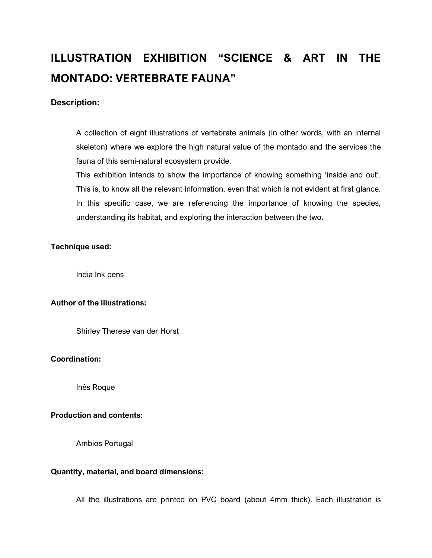# **ILLUSTRATION EXHIBITION "SCIENCE & ART IN THE MONTADO: VERTEBRATE FAUNA"**

### **Description:**

A collection of eight illustrations of vertebrate animals (in other words, with an internal skeleton) where we explore the high natural value of the montado and the services the fauna of this semi-natural ecosystem provide.

This exhibition intends to show the importance of knowing something 'inside and out'. This is, to know all the relevant information, even that which is not evident at first glance. In this specific case, we are referencing the importance of knowing the species, understanding its habitat, and exploring the interaction between the two.

#### **Technique used:**

India Ink pens

## **Author of the illustrations:**

Shirley Therese van der Horst

#### **Coordination:**

Inês Roque

## **Production and contents:**

Ambios Portugal

#### **Quantity, material, and board dimensions:**

All the illustrations are printed on PVC board (about 4mm thick). Each illustration is